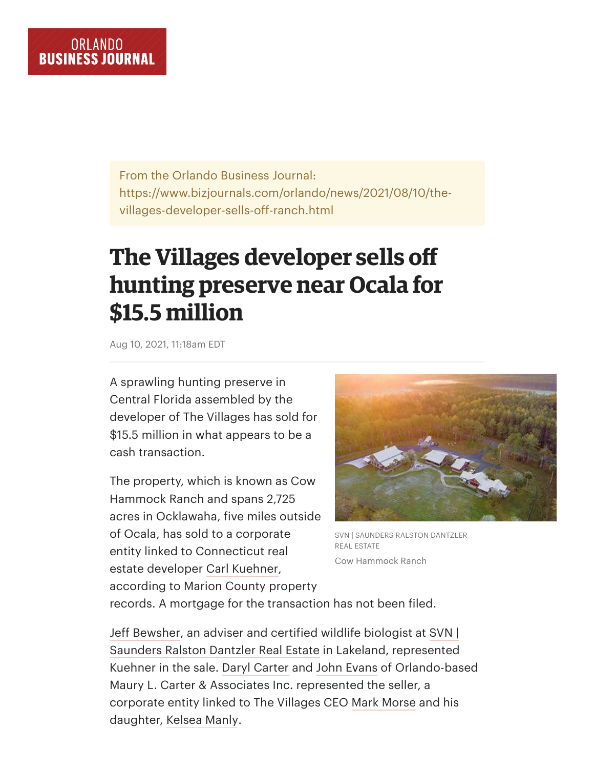From the Orlando Business Journal: https://www.bizjournals.com/orlando/news/2021/08/10/thevillages-developer-sells-off-ranch.html

## **The Villages developer sells off hunting preserve near Ocala for \$15.5 million**

Aug 10, 2021, 11:18am EDT

A sprawling hunting preserve in Central Florida assembled by the developer of The Villages has sold for \$15.5 million in what appears to be a cash transaction.

The property, which is known as Cow Hammock Ranch and spans 2,725 acres in Ocklawaha, five miles outside of Ocala, has sold to a corporate entity linked to Connecticut real estate developer [Carl Kuehner,](https://www.bizjournals.com/orlando/search/results?q=Carl%20Kuehner) according to Marion County property



SVN | SAUNDERS RALSTON DANTZLER REAL ESTATE Cow Hammock Ranch

records. A mortgage for the transaction has not been filed.

[Jeff Bewsher,](https://www.bizjournals.com/orlando/search/results?q=Jeff%20Bewsher) an adviser and certified wildlife biologist at SVN | [Saunders Ralston Dantzler Real Estate in Lakeland, represented](https://www.bizjournals.com/profile/company/org_ch_e8eac842d32eb3df7dd9ef724f9bea29) Kuehner in the sale. [Daryl Carter](https://www.bizjournals.com/orlando/search/results?q=Daryl%20Carter) and [John Evans](https://www.bizjournals.com/orlando/search/results?q=John%20Evans) of Orlando-based Maury L. Carter & Associates Inc. represented the seller, a corporate entity linked to The Villages CEO [Mark Morse](https://www.bizjournals.com/orlando/search/results?q=Mark%20Morse) and his daughter, [Kelsea Manly.](https://www.bizjournals.com/orlando/search/results?q=Kelsea%20Manly)